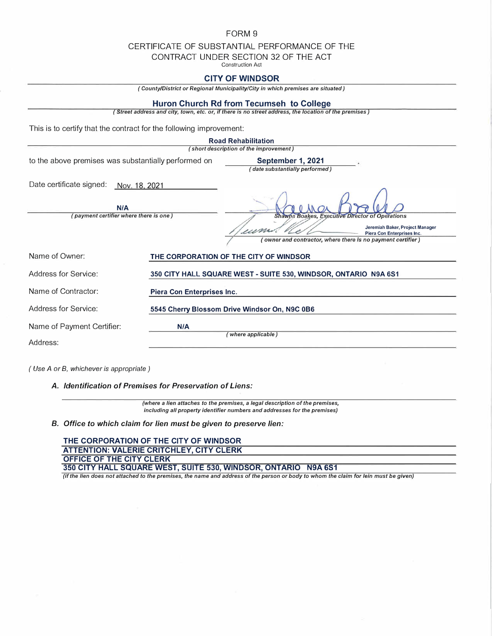### FORM 9

## CERTIFICATE OF SUBSTANTIAL PERFORMANCE OF THE

CONTRACT UNDER SECTION 32 OF THE ACT

Construction Act

## **CITY OF WINDSOR**

*( County/District or Regional Municipality/City in which premises are situated)* 

#### **Huron Church Rd from Tecumseh to College**

*( Street address and city, town, etc. or, if there* is *no street address, the location of the premises)* 

This is to certify that the contract for the following improvement:

| <b>Road Rehabilitation</b>                                                                 |                                                                 |                                                                                                                         |
|--------------------------------------------------------------------------------------------|-----------------------------------------------------------------|-------------------------------------------------------------------------------------------------------------------------|
| (short description of the improvement)                                                     |                                                                 |                                                                                                                         |
| to the above premises was substantially performed on                                       |                                                                 | September 1, 2021<br>(date substantially performed)                                                                     |
| Date certificate signed:<br>Nov. 18, 2021<br>N/A<br>(payment certifier where there is one) |                                                                 | <b>Shawna Boakes, Executive Director of Operations</b><br>Jeremiah Baker, Project Manager<br>Piera Con Enterprises Inc. |
|                                                                                            |                                                                 | owner and contractor, where there is no payment certifier)                                                              |
| Name of Owner:                                                                             |                                                                 | THE CORPORATION OF THE CITY OF WINDSOR                                                                                  |
| Address for Service:                                                                       | 350 CITY HALL SQUARE WEST - SUITE 530, WINDSOR, ONTARIO N9A 6S1 |                                                                                                                         |
| Name of Contractor:                                                                        | Piera Con Enterprises Inc.                                      |                                                                                                                         |
| Address for Service:                                                                       | 5545 Cherry Blossom Drive Windsor On, N9C 0B6                   |                                                                                                                         |
| Name of Payment Certifier:                                                                 | N/A<br>(where applicable)                                       |                                                                                                                         |
| Address:                                                                                   |                                                                 |                                                                                                                         |

*( Use A or B, whichever is appropriate )* 

*A. Identification of Premises for Preservation of Liens:*

*(where a lien attaches to the premises, a legal description of the premises, including all property identifier numbers and addresses for the premises)* 

*B. Office to which claim for lien must be given to preserve lien:*

**THE CORPORATION OF THE CITY OF WINDSOR ATTENTION: VALERIE CRITCHLEY, CITY CLERK OFFICE OF THE CITY CLERK 350 CITY HALL SQUARE WEST, SUITE 530, WINDSOR, ONTARIO N9A 6S1**  *(if the lien does not attached to the premises, the name and address of the person or body to whom the claim for lein must be given)*